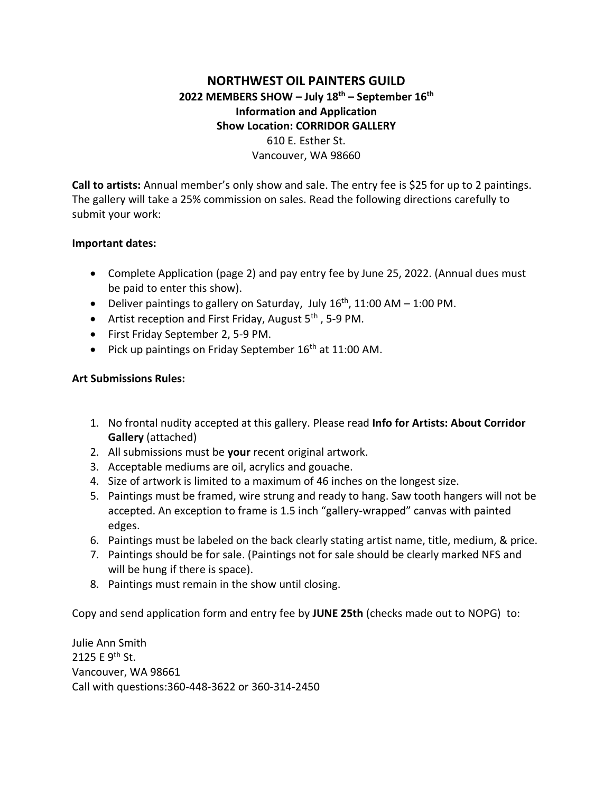## **NORTHWEST OIL PAINTERS GUILD 2022 MEMBERS SHOW – July 18th – September 16th Information and Application Show Location: CORRIDOR GALLERY** 610 E. Esther St. Vancouver, WA 98660

**Call to artists:** Annual member's only show and sale. The entry fee is \$25 for up to 2 paintings. The gallery will take a 25% commission on sales. Read the following directions carefully to submit your work:

## **Important dates:**

- Complete Application (page 2) and pay entry fee by June 25, 2022. (Annual dues must be paid to enter this show).
- Deliver paintings to gallery on Saturday, July  $16<sup>th</sup>$ , 11:00 AM 1:00 PM.
- Artist reception and First Friday, August  $5<sup>th</sup>$ , 5-9 PM.
- First Friday September 2, 5-9 PM.
- Pick up paintings on Friday September  $16<sup>th</sup>$  at 11:00 AM.

## **Art Submissions Rules:**

- 1. No frontal nudity accepted at this gallery. Please read **Info for Artists: About Corridor Gallery** (attached)
- 2. All submissions must be **your** recent original artwork.
- 3. Acceptable mediums are oil, acrylics and gouache.
- 4. Size of artwork is limited to a maximum of 46 inches on the longest size.
- 5. Paintings must be framed, wire strung and ready to hang. Saw tooth hangers will not be accepted. An exception to frame is 1.5 inch "gallery-wrapped" canvas with painted edges.
- 6. Paintings must be labeled on the back clearly stating artist name, title, medium, & price.
- 7. Paintings should be for sale. (Paintings not for sale should be clearly marked NFS and will be hung if there is space).
- 8. Paintings must remain in the show until closing.

Copy and send application form and entry fee by **JUNE 25th** (checks made out to NOPG) to:

Julie Ann Smith 2125 E 9<sup>th</sup> St. Vancouver, WA 98661 Call with questions:360-448-3622 or 360-314-2450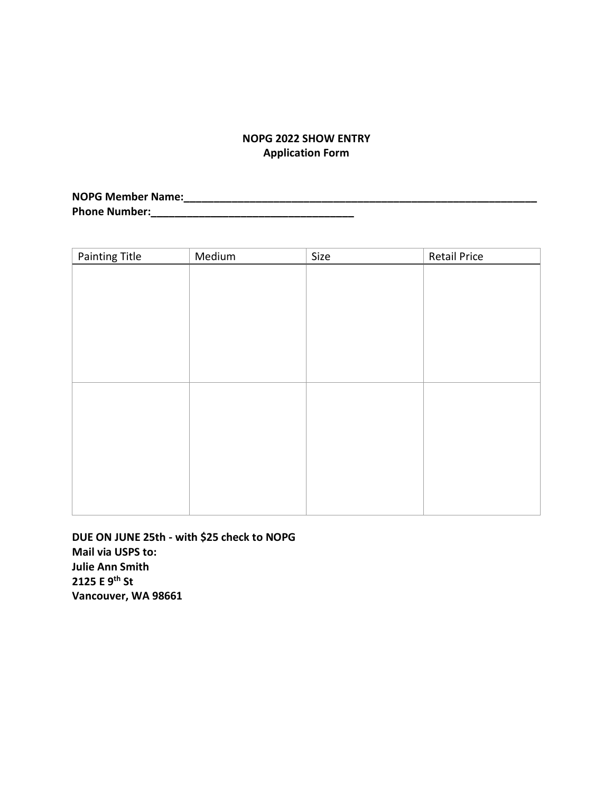## **NOPG 2022 SHOW ENTRY Application Form**

**NOPG Member Name:\_\_\_\_\_\_\_\_\_\_\_\_\_\_\_\_\_\_\_\_\_\_\_\_\_\_\_\_\_\_\_\_\_\_\_\_\_\_\_\_\_\_\_\_\_\_\_\_\_\_\_\_\_\_\_\_\_\_\_ Phone Number:\_\_\_\_\_\_\_\_\_\_\_\_\_\_\_\_\_\_\_\_\_\_\_\_\_\_\_\_\_\_\_\_\_\_**

| <b>Painting Title</b> | Medium | Size | <b>Retail Price</b> |
|-----------------------|--------|------|---------------------|
|                       |        |      |                     |
|                       |        |      |                     |
|                       |        |      |                     |
|                       |        |      |                     |
|                       |        |      |                     |
|                       |        |      |                     |
|                       |        |      |                     |
|                       |        |      |                     |
|                       |        |      |                     |
|                       |        |      |                     |
|                       |        |      |                     |
|                       |        |      |                     |
|                       |        |      |                     |
|                       |        |      |                     |
|                       |        |      |                     |

**DUE ON JUNE 25th - with \$25 check to NOPG Mail via USPS to: Julie Ann Smith 2125 E 9th St Vancouver, WA 98661**